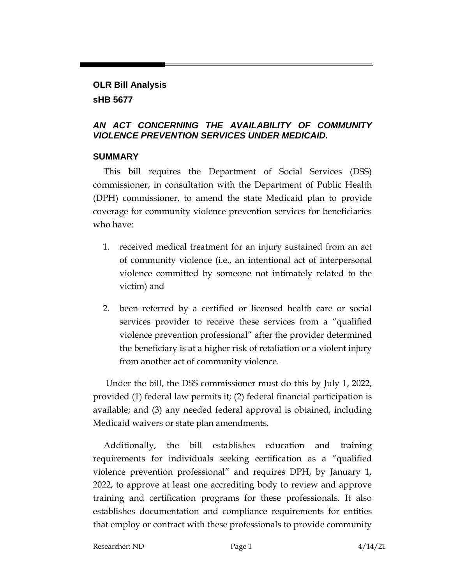# **OLR Bill Analysis sHB 5677**

### *AN ACT CONCERNING THE AVAILABILITY OF COMMUNITY VIOLENCE PREVENTION SERVICES UNDER MEDICAID.*

### **SUMMARY**

This bill requires the Department of Social Services (DSS) commissioner, in consultation with the Department of Public Health (DPH) commissioner, to amend the state Medicaid plan to provide coverage for community violence prevention services for beneficiaries who have:

- 1. received medical treatment for an injury sustained from an act of community violence (i.e., an intentional act of interpersonal violence committed by someone not intimately related to the victim) and
- 2. been referred by a certified or licensed health care or social services provider to receive these services from a "qualified violence prevention professional" after the provider determined the beneficiary is at a higher risk of retaliation or a violent injury from another act of community violence.

Under the bill, the DSS commissioner must do this by July 1, 2022, provided (1) federal law permits it; (2) federal financial participation is available; and (3) any needed federal approval is obtained, including Medicaid waivers or state plan amendments.

Additionally, the bill establishes education and training requirements for individuals seeking certification as a "qualified violence prevention professional" and requires DPH, by January 1, 2022, to approve at least one accrediting body to review and approve training and certification programs for these professionals. It also establishes documentation and compliance requirements for entities that employ or contract with these professionals to provide community

Researcher: ND Page 1 4/14/21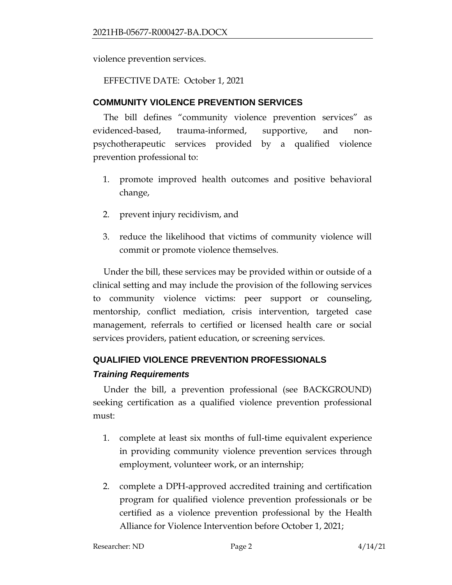violence prevention services.

EFFECTIVE DATE: October 1, 2021

## **COMMUNITY VIOLENCE PREVENTION SERVICES**

The bill defines "community violence prevention services" as evidenced-based, trauma-informed, supportive, and nonpsychotherapeutic services provided by a qualified violence prevention professional to:

- 1. promote improved health outcomes and positive behavioral change,
- 2. prevent injury recidivism, and
- 3. reduce the likelihood that victims of community violence will commit or promote violence themselves.

Under the bill, these services may be provided within or outside of a clinical setting and may include the provision of the following services to community violence victims: peer support or counseling, mentorship, conflict mediation, crisis intervention, targeted case management, referrals to certified or licensed health care or social services providers, patient education, or screening services.

# **QUALIFIED VIOLENCE PREVENTION PROFESSIONALS**

### *Training Requirements*

Under the bill, a prevention professional (see BACKGROUND) seeking certification as a qualified violence prevention professional must:

- 1. complete at least six months of full-time equivalent experience in providing community violence prevention services through employment, volunteer work, or an internship;
- 2. complete a DPH-approved accredited training and certification program for qualified violence prevention professionals or be certified as a violence prevention professional by the Health Alliance for Violence Intervention before October 1, 2021;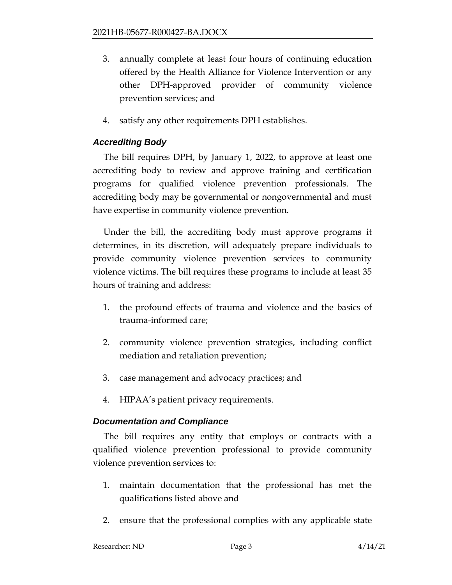- 3. annually complete at least four hours of continuing education offered by the Health Alliance for Violence Intervention or any other DPH-approved provider of community violence prevention services; and
- 4. satisfy any other requirements DPH establishes.

## *Accrediting Body*

The bill requires DPH, by January 1, 2022, to approve at least one accrediting body to review and approve training and certification programs for qualified violence prevention professionals. The accrediting body may be governmental or nongovernmental and must have expertise in community violence prevention.

Under the bill, the accrediting body must approve programs it determines, in its discretion, will adequately prepare individuals to provide community violence prevention services to community violence victims. The bill requires these programs to include at least 35 hours of training and address:

- 1. the profound effects of trauma and violence and the basics of trauma-informed care;
- 2. community violence prevention strategies, including conflict mediation and retaliation prevention;
- 3. case management and advocacy practices; and
- 4. HIPAA's patient privacy requirements.

### *Documentation and Compliance*

The bill requires any entity that employs or contracts with a qualified violence prevention professional to provide community violence prevention services to:

- 1. maintain documentation that the professional has met the qualifications listed above and
- 2. ensure that the professional complies with any applicable state